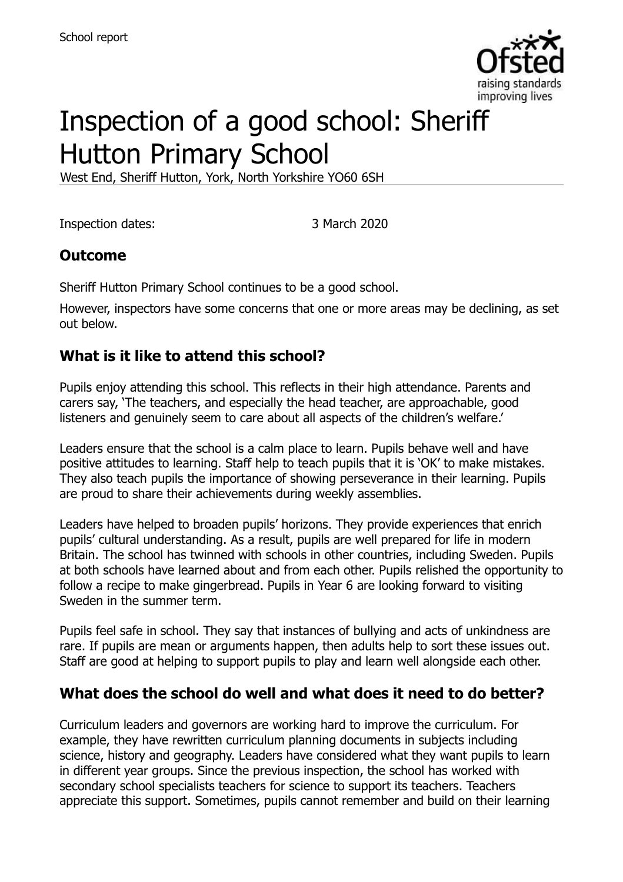

# Inspection of a good school: Sheriff Hutton Primary School

West End, Sheriff Hutton, York, North Yorkshire YO60 6SH

Inspection dates: 3 March 2020

# **Outcome**

Sheriff Hutton Primary School continues to be a good school.

However, inspectors have some concerns that one or more areas may be declining, as set out below.

# **What is it like to attend this school?**

Pupils enjoy attending this school. This reflects in their high attendance. Parents and carers say, 'The teachers, and especially the head teacher, are approachable, good listeners and genuinely seem to care about all aspects of the children's welfare.'

Leaders ensure that the school is a calm place to learn. Pupils behave well and have positive attitudes to learning. Staff help to teach pupils that it is 'OK' to make mistakes. They also teach pupils the importance of showing perseverance in their learning. Pupils are proud to share their achievements during weekly assemblies.

Leaders have helped to broaden pupils' horizons. They provide experiences that enrich pupils' cultural understanding. As a result, pupils are well prepared for life in modern Britain. The school has twinned with schools in other countries, including Sweden. Pupils at both schools have learned about and from each other. Pupils relished the opportunity to follow a recipe to make gingerbread. Pupils in Year 6 are looking forward to visiting Sweden in the summer term.

Pupils feel safe in school. They say that instances of bullying and acts of unkindness are rare. If pupils are mean or arguments happen, then adults help to sort these issues out. Staff are good at helping to support pupils to play and learn well alongside each other.

# **What does the school do well and what does it need to do better?**

Curriculum leaders and governors are working hard to improve the curriculum. For example, they have rewritten curriculum planning documents in subjects including science, history and geography. Leaders have considered what they want pupils to learn in different year groups. Since the previous inspection, the school has worked with secondary school specialists teachers for science to support its teachers. Teachers appreciate this support. Sometimes, pupils cannot remember and build on their learning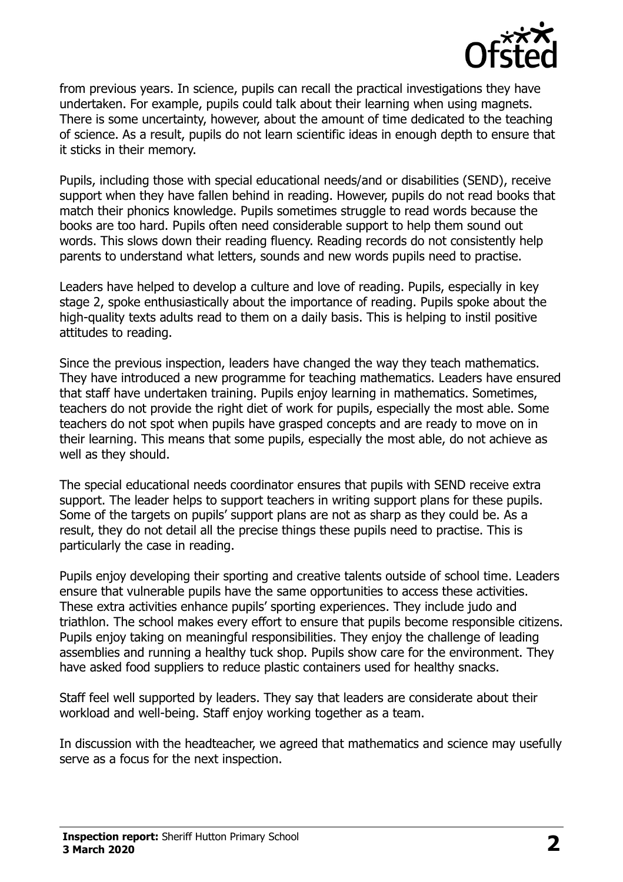

from previous years. In science, pupils can recall the practical investigations they have undertaken. For example, pupils could talk about their learning when using magnets. There is some uncertainty, however, about the amount of time dedicated to the teaching of science. As a result, pupils do not learn scientific ideas in enough depth to ensure that it sticks in their memory.

Pupils, including those with special educational needs/and or disabilities (SEND), receive support when they have fallen behind in reading. However, pupils do not read books that match their phonics knowledge. Pupils sometimes struggle to read words because the books are too hard. Pupils often need considerable support to help them sound out words. This slows down their reading fluency. Reading records do not consistently help parents to understand what letters, sounds and new words pupils need to practise.

Leaders have helped to develop a culture and love of reading. Pupils, especially in key stage 2, spoke enthusiastically about the importance of reading. Pupils spoke about the high-quality texts adults read to them on a daily basis. This is helping to instil positive attitudes to reading.

Since the previous inspection, leaders have changed the way they teach mathematics. They have introduced a new programme for teaching mathematics. Leaders have ensured that staff have undertaken training. Pupils enjoy learning in mathematics. Sometimes, teachers do not provide the right diet of work for pupils, especially the most able. Some teachers do not spot when pupils have grasped concepts and are ready to move on in their learning. This means that some pupils, especially the most able, do not achieve as well as they should.

The special educational needs coordinator ensures that pupils with SEND receive extra support. The leader helps to support teachers in writing support plans for these pupils. Some of the targets on pupils' support plans are not as sharp as they could be. As a result, they do not detail all the precise things these pupils need to practise. This is particularly the case in reading.

Pupils enjoy developing their sporting and creative talents outside of school time. Leaders ensure that vulnerable pupils have the same opportunities to access these activities. These extra activities enhance pupils' sporting experiences. They include judo and triathlon. The school makes every effort to ensure that pupils become responsible citizens. Pupils enjoy taking on meaningful responsibilities. They enjoy the challenge of leading assemblies and running a healthy tuck shop. Pupils show care for the environment. They have asked food suppliers to reduce plastic containers used for healthy snacks.

Staff feel well supported by leaders. They say that leaders are considerate about their workload and well-being. Staff enjoy working together as a team.

In discussion with the headteacher, we agreed that mathematics and science may usefully serve as a focus for the next inspection.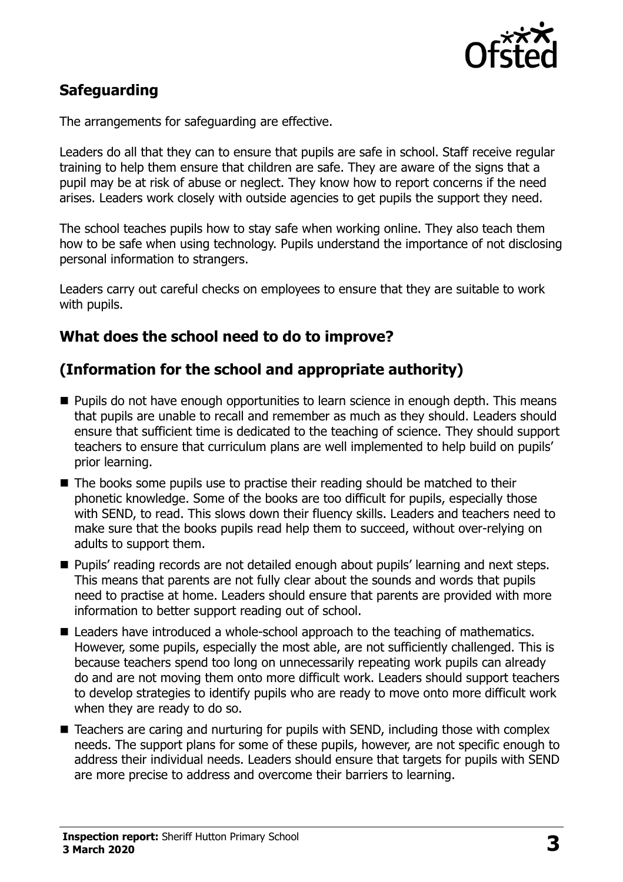

# **Safeguarding**

The arrangements for safeguarding are effective.

Leaders do all that they can to ensure that pupils are safe in school. Staff receive regular training to help them ensure that children are safe. They are aware of the signs that a pupil may be at risk of abuse or neglect. They know how to report concerns if the need arises. Leaders work closely with outside agencies to get pupils the support they need.

The school teaches pupils how to stay safe when working online. They also teach them how to be safe when using technology. Pupils understand the importance of not disclosing personal information to strangers.

Leaders carry out careful checks on employees to ensure that they are suitable to work with pupils.

#### **What does the school need to do to improve?**

#### **(Information for the school and appropriate authority)**

- **Pupils do not have enough opportunities to learn science in enough depth. This means** that pupils are unable to recall and remember as much as they should. Leaders should ensure that sufficient time is dedicated to the teaching of science. They should support teachers to ensure that curriculum plans are well implemented to help build on pupils' prior learning.
- The books some pupils use to practise their reading should be matched to their phonetic knowledge. Some of the books are too difficult for pupils, especially those with SEND, to read. This slows down their fluency skills. Leaders and teachers need to make sure that the books pupils read help them to succeed, without over-relying on adults to support them.
- **Pupils' reading records are not detailed enough about pupils' learning and next steps.** This means that parents are not fully clear about the sounds and words that pupils need to practise at home. Leaders should ensure that parents are provided with more information to better support reading out of school.
- Leaders have introduced a whole-school approach to the teaching of mathematics. However, some pupils, especially the most able, are not sufficiently challenged. This is because teachers spend too long on unnecessarily repeating work pupils can already do and are not moving them onto more difficult work. Leaders should support teachers to develop strategies to identify pupils who are ready to move onto more difficult work when they are ready to do so.
- Teachers are caring and nurturing for pupils with SEND, including those with complex needs. The support plans for some of these pupils, however, are not specific enough to address their individual needs. Leaders should ensure that targets for pupils with SEND are more precise to address and overcome their barriers to learning.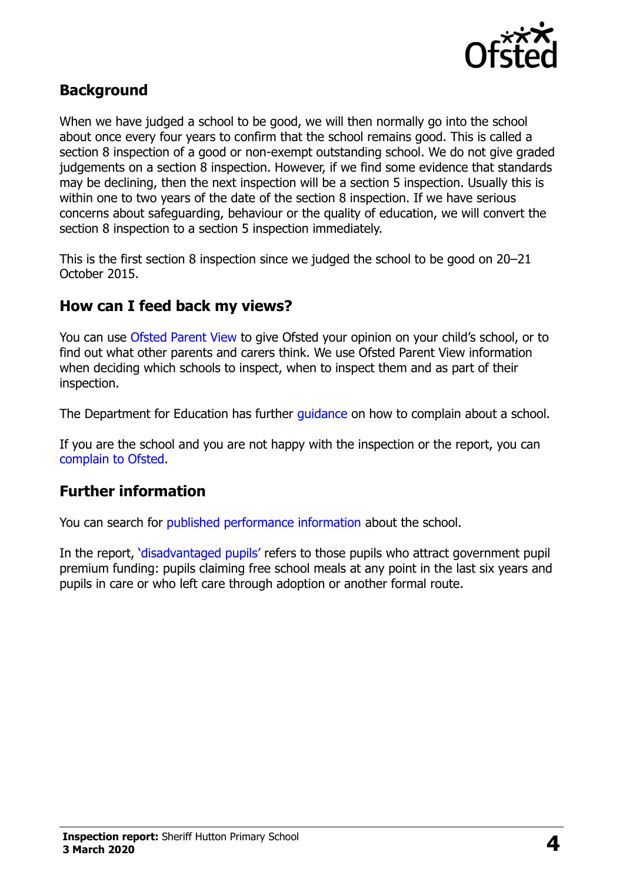

#### **Background**

When we have judged a school to be good, we will then normally go into the school about once every four years to confirm that the school remains good. This is called a section 8 inspection of a good or non-exempt outstanding school. We do not give graded judgements on a section 8 inspection. However, if we find some evidence that standards may be declining, then the next inspection will be a section 5 inspection. Usually this is within one to two years of the date of the section 8 inspection. If we have serious concerns about safeguarding, behaviour or the quality of education, we will convert the section 8 inspection to a section 5 inspection immediately.

This is the first section 8 inspection since we judged the school to be good on 20–21 October 2015.

### **How can I feed back my views?**

You can use [Ofsted Parent View](https://parentview.ofsted.gov.uk/) to give Ofsted your opinion on your child's school, or to find out what other parents and carers think. We use Ofsted Parent View information when deciding which schools to inspect, when to inspect them and as part of their inspection.

The Department for Education has further quidance on how to complain about a school.

If you are the school and you are not happy with the inspection or the report, you can [complain to Ofsted.](https://www.gov.uk/complain-ofsted-report)

#### **Further information**

You can search for [published performance information](http://www.compare-school-performance.service.gov.uk/) about the school.

In the report, '[disadvantaged pupils](http://www.gov.uk/guidance/pupil-premium-information-for-schools-and-alternative-provision-settings)' refers to those pupils who attract government pupil premium funding: pupils claiming free school meals at any point in the last six years and pupils in care or who left care through adoption or another formal route.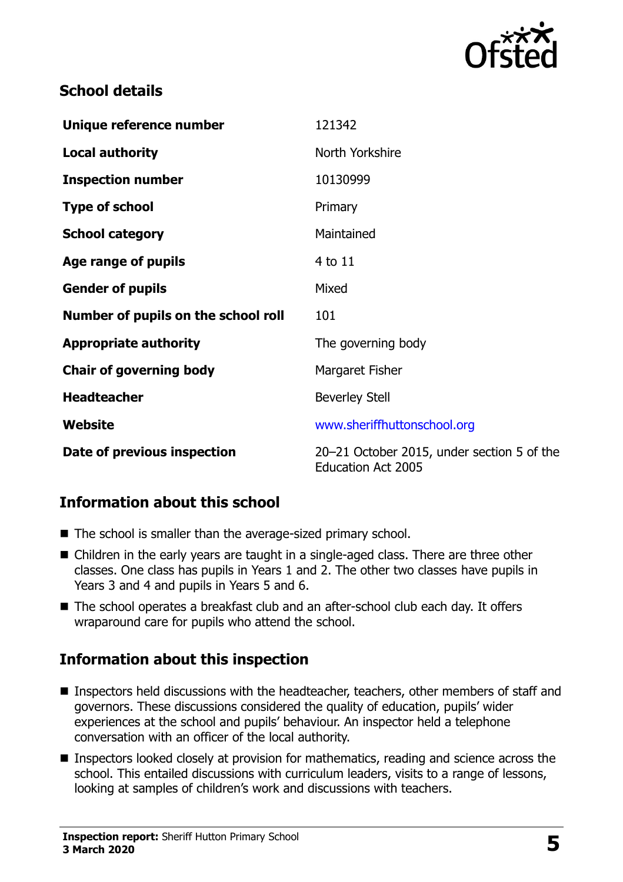

### **School details**

| Unique reference number             | 121342                                                                  |
|-------------------------------------|-------------------------------------------------------------------------|
| <b>Local authority</b>              | North Yorkshire                                                         |
| <b>Inspection number</b>            | 10130999                                                                |
| <b>Type of school</b>               | Primary                                                                 |
| <b>School category</b>              | Maintained                                                              |
| Age range of pupils                 | 4 to 11                                                                 |
| <b>Gender of pupils</b>             | Mixed                                                                   |
| Number of pupils on the school roll | 101                                                                     |
| <b>Appropriate authority</b>        | The governing body                                                      |
| <b>Chair of governing body</b>      | Margaret Fisher                                                         |
| <b>Headteacher</b>                  | <b>Beverley Stell</b>                                                   |
| Website                             | www.sheriffhuttonschool.org                                             |
| Date of previous inspection         | 20-21 October 2015, under section 5 of the<br><b>Education Act 2005</b> |

#### **Information about this school**

- The school is smaller than the average-sized primary school.
- Children in the early years are taught in a single-aged class. There are three other classes. One class has pupils in Years 1 and 2. The other two classes have pupils in Years 3 and 4 and pupils in Years 5 and 6.
- The school operates a breakfast club and an after-school club each day. It offers wraparound care for pupils who attend the school.

#### **Information about this inspection**

- Inspectors held discussions with the headteacher, teachers, other members of staff and governors. These discussions considered the quality of education, pupils' wider experiences at the school and pupils' behaviour. An inspector held a telephone conversation with an officer of the local authority.
- **Inspectors looked closely at provision for mathematics, reading and science across the** school. This entailed discussions with curriculum leaders, visits to a range of lessons, looking at samples of children's work and discussions with teachers.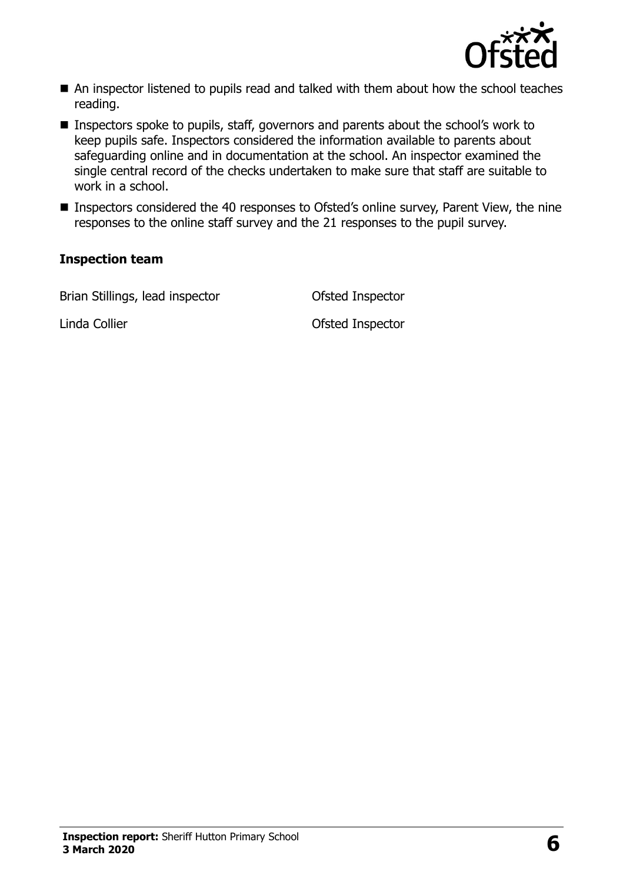

- An inspector listened to pupils read and talked with them about how the school teaches reading.
- Inspectors spoke to pupils, staff, governors and parents about the school's work to keep pupils safe. Inspectors considered the information available to parents about safeguarding online and in documentation at the school. An inspector examined the single central record of the checks undertaken to make sure that staff are suitable to work in a school.
- **Inspectors considered the 40 responses to Ofsted's online survey, Parent View, the nine** responses to the online staff survey and the 21 responses to the pupil survey.

#### **Inspection team**

Brian Stillings, lead inspector **Ofsted Inspector** 

Linda Collier **Collier Collier** Controller Controller Controller Controller Controller Controller Controller Controller Controller Controller Controller Controller Controller Controller Controller Controller Controller Con